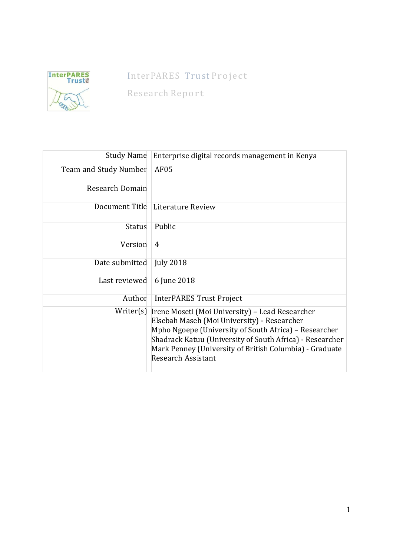

# InterPARES Trust Project

Research Report

| <b>Study Name</b>     | Enterprise digital records management in Kenya                                                                                                                                                                                                                                                       |  |
|-----------------------|------------------------------------------------------------------------------------------------------------------------------------------------------------------------------------------------------------------------------------------------------------------------------------------------------|--|
| Team and Study Number | AF05                                                                                                                                                                                                                                                                                                 |  |
| Research Domain       |                                                                                                                                                                                                                                                                                                      |  |
| Document Title        | Literature Review                                                                                                                                                                                                                                                                                    |  |
| <b>Status</b>         | Public                                                                                                                                                                                                                                                                                               |  |
| Version               | 4                                                                                                                                                                                                                                                                                                    |  |
| Date submitted        | <b>July 2018</b>                                                                                                                                                                                                                                                                                     |  |
| Last reviewed         | 6 June 2018                                                                                                                                                                                                                                                                                          |  |
| Author                | <b>InterPARES Trust Project</b>                                                                                                                                                                                                                                                                      |  |
| Writer(s)             | Irene Moseti (Moi University) - Lead Researcher<br>Elsebah Maseh (Moi University) - Researcher<br>Mpho Ngoepe (University of South Africa) – Researcher<br>Shadrack Katuu (University of South Africa) - Researcher<br>Mark Penney (University of British Columbia) - Graduate<br>Research Assistant |  |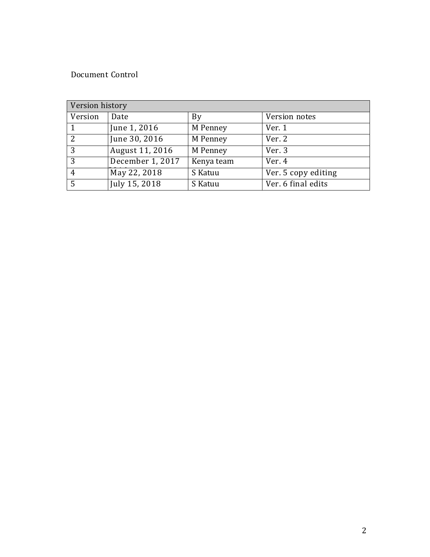## Document Control

| Version history |                  |            |                     |  |
|-----------------|------------------|------------|---------------------|--|
| Version         | Date             | By         | Version notes       |  |
| $\overline{1}$  | June 1, 2016     | M Penney   | Ver. 1              |  |
| 2               | June 30, 2016    | M Penney   | Ver. 2              |  |
| $\overline{3}$  | August 11, 2016  | M Penney   | Ver. 3              |  |
| 3               | December 1, 2017 | Kenya team | Ver. 4              |  |
| $\overline{4}$  | May 22, 2018     | S Katuu    | Ver. 5 copy editing |  |
| 5               | July 15, 2018    | S Katuu    | Ver. 6 final edits  |  |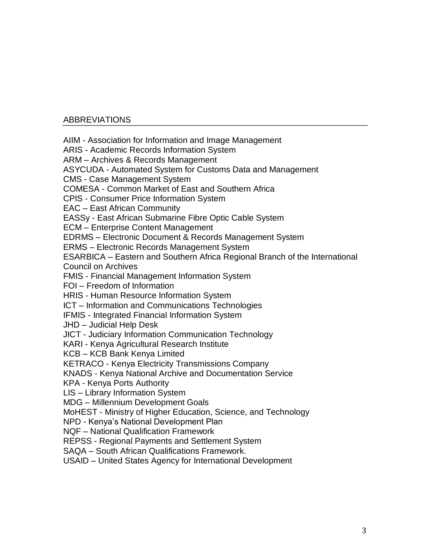## ABBREVIATIONS

AIIM - Association for Information and Image Management

ARIS - Academic Records Information System

ARM – Archives & Records Management

ASYCUDA - Automated System for Customs Data and Management

CMS - Case Management System

COMESA - Common Market of East and Southern Africa

CPIS - Consumer Price Information System

EAC – East African Community

EASSy - East African Submarine Fibre Optic Cable System

ECM – Enterprise Content Management

EDRMS – Electronic Document & Records Management System

ERMS – Electronic Records Management System

ESARBICA – Eastern and Southern Africa Regional Branch of the International Council on Archives

FMIS - Financial Management Information System

FOI – Freedom of Information

HRIS - Human Resource Information System

ICT – Information and Communications Technologies

IFMIS - Integrated Financial Information System

JHD – Judicial Help Desk

JICT - Judiciary Information Communication Technology

KARI - Kenya Agricultural Research Institute

KCB – KCB Bank Kenya Limited

KETRACO - Kenya Electricity Transmissions Company

KNADS - Kenya National Archive and Documentation Service

KPA - Kenya Ports Authority

LIS – Library Information System

MDG – Millennium Development Goals

MoHEST - Ministry of Higher Education, Science, and Technology

NPD - Kenya's National Development Plan

NQF – National Qualification Framework

REPSS - Regional Payments and Settlement System

SAQA – South African Qualifications Framework.

USAID – United States Agency for International Development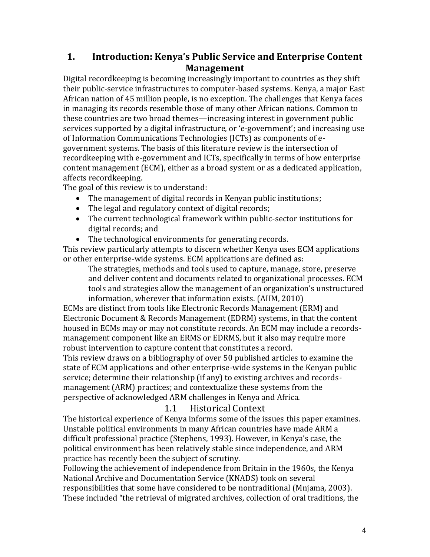# **1. Introduction: Kenya's Public Service and Enterprise Content Management**

Digital recordkeeping is becoming increasingly important to countries as they shift their public-service infrastructures to computer-based systems. Kenya, a major East African nation of 45 million people, is no exception. The challenges that Kenya faces in managing its records resemble those of many other African nations. Common to these countries are two broad themes—increasing interest in government public services supported by a digital infrastructure, or 'e-government'; and increasing use of Information Communications Technologies (ICTs) as components of egovernment systems. The basis of this literature review is the intersection of recordkeeping with e-government and ICTs, specifically in terms of how enterprise content management (ECM), either as a broad system or as a dedicated application, affects recordkeeping.

The goal of this review is to understand:

- The management of digital records in Kenyan public institutions;
- The legal and regulatory context of digital records;
- The current technological framework within public-sector institutions for digital records; and
- The technological environments for generating records.

This review particularly attempts to discern whether Kenya uses ECM applications or other enterprise-wide systems. ECM applications are defined as:

The strategies, methods and tools used to capture, manage, store, preserve and deliver content and documents related to organizational processes. ECM tools and strategies allow the management of an organization's unstructured information, wherever that information exists. (AIIM, 2010)

ECMs are distinct from tools like Electronic Records Management (ERM) and Electronic Document & Records Management (EDRM) systems, in that the content housed in ECMs may or may not constitute records. An ECM may include a recordsmanagement component like an ERMS or EDRMS, but it also may require more robust intervention to capture content that constitutes a record.

This review draws on a bibliography of over 50 published articles to examine the state of ECM applications and other enterprise-wide systems in the Kenyan public service; determine their relationship (if any) to existing archives and recordsmanagement (ARM) practices; and contextualize these systems from the perspective of acknowledged ARM challenges in Kenya and Africa.

# 1.1 Historical Context

The historical experience of Kenya informs some of the issues this paper examines. Unstable political environments in many African countries have made ARM a difficult professional practice (Stephens, 1993). However, in Kenya's case, the political environment has been relatively stable since independence, and ARM practice has recently been the subject of scrutiny.

Following the achievement of independence from Britain in the 1960s, the Kenya National Archive and Documentation Service (KNADS) took on several responsibilities that some have considered to be nontraditional (Mnjama, 2003). These included "the retrieval of migrated archives, collection of oral traditions, the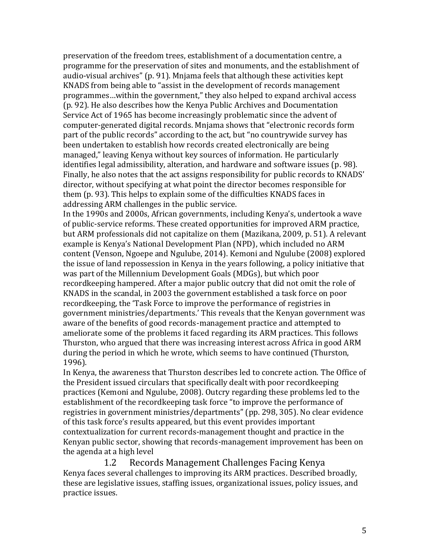preservation of the freedom trees, establishment of a documentation centre, a programme for the preservation of sites and monuments, and the establishment of audio-visual archives" (p. 91). Mnjama feels that although these activities kept KNADS from being able to "assist in the development of records management programmes…within the government," they also helped to expand archival access (p. 92). He also describes how the Kenya Public Archives and Documentation Service Act of 1965 has become increasingly problematic since the advent of computer-generated digital records. Mnjama shows that "electronic records form part of the public records" according to the act, but "no countrywide survey has been undertaken to establish how records created electronically are being managed," leaving Kenya without key sources of information. He particularly identifies legal admissibility, alteration, and hardware and software issues (p. 98). Finally, he also notes that the act assigns responsibility for public records to KNADS' director, without specifying at what point the director becomes responsible for them (p. 93). This helps to explain some of the difficulties KNADS faces in addressing ARM challenges in the public service.

In the 1990s and 2000s, African governments, including Kenya's, undertook a wave of public-service reforms. These created opportunities for improved ARM practice, but ARM professionals did not capitalize on them (Mazikana, 2009, p. 51). A relevant example is Kenya's National Development Plan (NPD), which included no ARM content (Venson, Ngoepe and Ngulube, 2014). Kemoni and Ngulube (2008) explored the issue of land repossession in Kenya in the years following, a policy initiative that was part of the Millennium Development Goals (MDGs), but which poor recordkeeping hampered. After a major public outcry that did not omit the role of KNADS in the scandal, in 2003 the government established a task force on poor recordkeeping, the 'Task Force to improve the performance of registries in government ministries/departments.' This reveals that the Kenyan government was aware of the benefits of good records-management practice and attempted to ameliorate some of the problems it faced regarding its ARM practices. This follows Thurston, who argued that there was increasing interest across Africa in good ARM during the period in which he wrote, which seems to have continued (Thurston, 1996).

In Kenya, the awareness that Thurston describes led to concrete action. The Office of the President issued circulars that specifically dealt with poor recordkeeping practices (Kemoni and Ngulube, 2008). Outcry regarding these problems led to the establishment of the recordkeeping task force "to improve the performance of registries in government ministries/departments" (pp. 298, 305). No clear evidence of this task force's results appeared, but this event provides important contextualization for current records-management thought and practice in the Kenyan public sector, showing that records-management improvement has been on the agenda at a high level

1.2 Records Management Challenges Facing Kenya Kenya faces several challenges to improving its ARM practices. Described broadly, these are legislative issues, staffing issues, organizational issues, policy issues, and practice issues.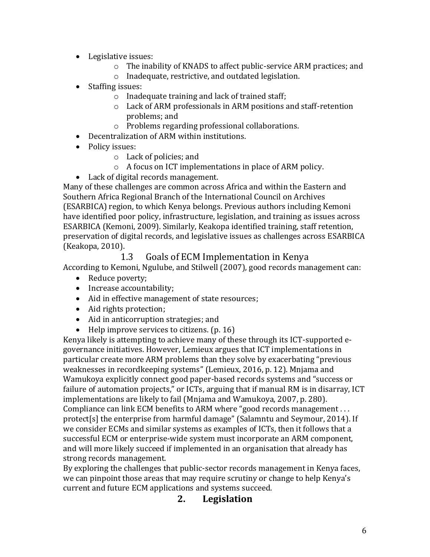- Legislative issues:
	- o The inability of KNADS to affect public-service ARM practices; and
	- o Inadequate, restrictive, and outdated legislation.
- Staffing issues:
	- o Inadequate training and lack of trained staff;
	- o Lack of ARM professionals in ARM positions and staff-retention problems; and
	- o Problems regarding professional collaborations.
- Decentralization of ARM within institutions.
- Policy issues:
	- o Lack of policies; and
	- o A focus on ICT implementations in place of ARM policy.
- Lack of digital records management.

Many of these challenges are common across Africa and within the Eastern and Southern Africa Regional Branch of the International Council on Archives (ESARBICA) region, to which Kenya belongs. Previous authors including Kemoni have identified poor policy, infrastructure, legislation, and training as issues across ESARBICA (Kemoni, 2009). Similarly, Keakopa identified training, staff retention, preservation of digital records, and legislative issues as challenges across ESARBICA (Keakopa, 2010).

## 1.3 Goals of ECM Implementation in Kenya

According to Kemoni, Ngulube, and Stilwell (2007), good records management can:

- Reduce poverty:
- Increase accountability;
- Aid in effective management of state resources;
- Aid rights protection;
- Aid in anticorruption strategies; and
- Help improve services to citizens. (p. 16)

Kenya likely is attempting to achieve many of these through its ICT-supported egovernance initiatives. However, Lemieux argues that ICT implementations in particular create more ARM problems than they solve by exacerbating "previous weaknesses in recordkeeping systems" (Lemieux, 2016, p. 12). Mnjama and Wamukoya explicitly connect good paper-based records systems and "success or failure of automation projects," or ICTs, arguing that if manual RM is in disarray, ICT implementations are likely to fail (Mnjama and Wamukoya, 2007, p. 280). Compliance can link ECM benefits to ARM where "good records management . . . protect[s] the enterprise from harmful damage" (Salamntu and Seymour, 2014). If we consider ECMs and similar systems as examples of ICTs, then it follows that a successful ECM or enterprise-wide system must incorporate an ARM component, and will more likely succeed if implemented in an organisation that already has strong records management.

By exploring the challenges that public-sector records management in Kenya faces, we can pinpoint those areas that may require scrutiny or change to help Kenya's current and future ECM applications and systems succeed.

# **2. Legislation**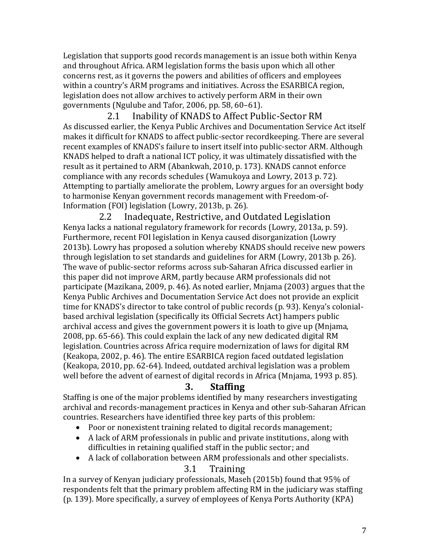Legislation that supports good records management is an issue both within Kenya and throughout Africa. ARM legislation forms the basis upon which all other concerns rest, as it governs the powers and abilities of officers and employees within a country's ARM programs and initiatives. Across the ESARBICA region, legislation does not allow archives to actively perform ARM in their own governments (Ngulube and Tafor, 2006, pp. 58, 60–61).

2.1 Inability of KNADS to Affect Public-Sector RM As discussed earlier, the Kenya Public Archives and Documentation Service Act itself makes it difficult for KNADS to affect public-sector recordkeeping. There are several recent examples of KNADS's failure to insert itself into public-sector ARM. Although KNADS helped to draft a national ICT policy, it was ultimately dissatisfied with the result as it pertained to ARM (Abankwah, 2010, p. 173). KNADS cannot enforce compliance with any records schedules (Wamukoya and Lowry, 2013 p. 72). Attempting to partially ameliorate the problem, Lowry argues for an oversight body to harmonise Kenyan government records management with Freedom-of-Information (FOI) legislation (Lowry, 2013b, p. 26).

2.2 Inadequate, Restrictive, and Outdated Legislation Kenya lacks a national regulatory framework for records (Lowry, 2013a, p. 59). Furthermore, recent FOI legislation in Kenya caused disorganization (Lowry 2013b). Lowry has proposed a solution whereby KNADS should receive new powers through legislation to set standards and guidelines for ARM (Lowry, 2013b p. 26). The wave of public-sector reforms across sub-Saharan Africa discussed earlier in this paper did not improve ARM, partly because ARM professionals did not participate (Mazikana, 2009, p. 46). As noted earlier, Mnjama (2003) argues that the Kenya Public Archives and Documentation Service Act does not provide an explicit time for KNADS's director to take control of public records (p. 93). Kenya's colonialbased archival legislation (specifically its Official Secrets Act) hampers public archival access and gives the government powers it is loath to give up (Mnjama, 2008, pp. 65-66). This could explain the lack of any new dedicated digital RM legislation. Countries across Africa require modernization of laws for digital RM (Keakopa, 2002, p. 46). The entire ESARBICA region faced outdated legislation (Keakopa, 2010, pp. 62-64). Indeed, outdated archival legislation was a problem well before the advent of earnest of digital records in Africa (Mnjama, 1993 p. 85).

## **3. Staffing**

Staffing is one of the major problems identified by many researchers investigating archival and records-management practices in Kenya and other sub-Saharan African countries. Researchers have identified three key parts of this problem:

- Poor or nonexistent training related to digital records management;
- A lack of ARM professionals in public and private institutions, along with difficulties in retaining qualified staff in the public sector; and
- A lack of collaboration between ARM professionals and other specialists.

# 3.1 Training

In a survey of Kenyan judiciary professionals, Maseh (2015b) found that 95% of respondents felt that the primary problem affecting RM in the judiciary was staffing (p. 139). More specifically, a survey of employees of Kenya Ports Authority (KPA)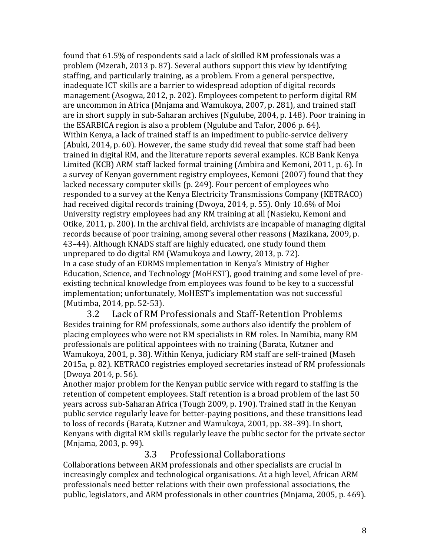found that 61.5% of respondents said a lack of skilled RM professionals was a problem (Mzerah, 2013 p. 87). Several authors support this view by identifying staffing, and particularly training, as a problem. From a general perspective, inadequate ICT skills are a barrier to widespread adoption of digital records management (Asogwa, 2012, p. 202). Employees competent to perform digital RM are uncommon in Africa (Mnjama and Wamukoya, 2007, p. 281), and trained staff are in short supply in sub-Saharan archives (Ngulube, 2004, p. 148). Poor training in the ESARBICA region is also a problem (Ngulube and Tafor, 2006 p. 64). Within Kenya, a lack of trained staff is an impediment to public-service delivery (Abuki, 2014, p. 60). However, the same study did reveal that some staff had been trained in digital RM, and the literature reports several examples. KCB Bank Kenya Limited (KCB) ARM staff lacked formal training (Ambira and Kemoni, 2011, p. 6). In a survey of Kenyan government registry employees, Kemoni (2007) found that they lacked necessary computer skills (p. 249). Four percent of employees who responded to a survey at the Kenya Electricity Transmissions Company (KETRACO) had received digital records training (Dwoya, 2014, p. 55). Only 10.6% of Moi University registry employees had any RM training at all (Nasieku, Kemoni and Otike, 2011, p. 200). In the archival field, archivists are incapable of managing digital records because of poor training, among several other reasons (Mazikana, 2009, p. 43–44). Although KNADS staff are highly educated, one study found them unprepared to do digital RM (Wamukoya and Lowry, 2013, p. 72). In a case study of an EDRMS implementation in Kenya's Ministry of Higher Education, Science, and Technology (MoHEST), good training and some level of preexisting technical knowledge from employees was found to be key to a successful implementation; unfortunately, MoHEST's implementation was not successful (Mutimba, 2014, pp. 52-53).

3.2 Lack of RM Professionals and Staff-Retention Problems Besides training for RM professionals, some authors also identify the problem of placing employees who were not RM specialists in RM roles. In Namibia, many RM professionals are political appointees with no training (Barata, Kutzner and Wamukoya, 2001, p. 38). Within Kenya, judiciary RM staff are self-trained (Maseh 2015a, p. 82). KETRACO registries employed secretaries instead of RM professionals (Dwoya 2014, p. 56).

Another major problem for the Kenyan public service with regard to staffing is the retention of competent employees. Staff retention is a broad problem of the last 50 years across sub-Saharan Africa (Tough 2009, p. 190). Trained staff in the Kenyan public service regularly leave for better-paying positions, and these transitions lead to loss of records (Barata*,* Kutzner and Wamukoya, 2001, pp. 38–39). In short, Kenyans with digital RM skills regularly leave the public sector for the private sector (Mnjama, 2003, p. 99).

## 3.3 Professional Collaborations

Collaborations between ARM professionals and other specialists are crucial in increasingly complex and technological organisations. At a high level, African ARM professionals need better relations with their own professional associations, the public, legislators, and ARM professionals in other countries (Mnjama, 2005, p. 469).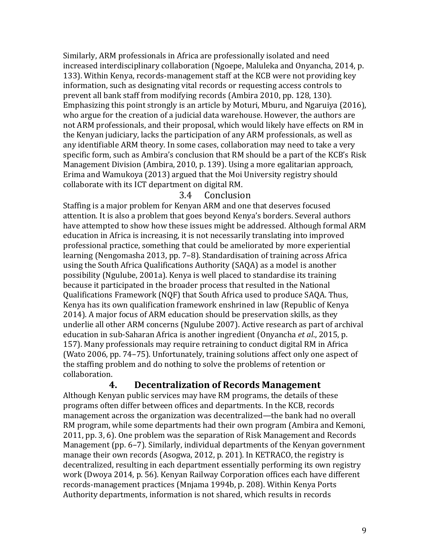Similarly, ARM professionals in Africa are professionally isolated and need increased interdisciplinary collaboration (Ngoepe, Maluleka and Onyancha, 2014, p. 133). Within Kenya, records-management staff at the KCB were not providing key information, such as designating vital records or requesting access controls to prevent all bank staff from modifying records (Ambira 2010, pp. 128, 130). Emphasizing this point strongly is an article by Moturi, Mburu, and Ngaruiya (2016), who argue for the creation of a judicial data warehouse. However, the authors are not ARM professionals, and their proposal, which would likely have effects on RM in the Kenyan judiciary, lacks the participation of any ARM professionals, as well as any identifiable ARM theory. In some cases, collaboration may need to take a very specific form, such as Ambira's conclusion that RM should be a part of the KCB's Risk Management Division (Ambira, 2010, p. 139). Using a more egalitarian approach, Erima and Wamukoya (2013) argued that the Moi University registry should collaborate with its ICT department on digital RM.

#### 3.4 Conclusion

Staffing is a major problem for Kenyan ARM and one that deserves focused attention. It is also a problem that goes beyond Kenya's borders. Several authors have attempted to show how these issues might be addressed. Although formal ARM education in Africa is increasing, it is not necessarily translating into improved professional practice, something that could be ameliorated by more experiential learning (Nengomasha 2013, pp. 7–8). Standardisation of training across Africa using the South Africa Qualifications Authority (SAQA) as a model is another possibility (Ngulube, 2001a). Kenya is well placed to standardise its training because it participated in the broader process that resulted in the National Qualifications Framework (NQF) that South Africa used to produce SAQA. Thus, Kenya has its own qualification framework enshrined in law (Republic of Kenya 2014). A major focus of ARM education should be preservation skills, as they underlie all other ARM concerns (Ngulube 2007). Active research as part of archival education in sub-Saharan Africa is another ingredient (Onyancha *et al*., 2015, p. 157). Many professionals may require retraining to conduct digital RM in Africa (Wato 2006, pp. 74–75). Unfortunately, training solutions affect only one aspect of the staffing problem and do nothing to solve the problems of retention or collaboration.

## **4. Decentralization of Records Management**

Although Kenyan public services may have RM programs, the details of these programs often differ between offices and departments. In the KCB, records management across the organization was decentralized—the bank had no overall RM program, while some departments had their own program (Ambira and Kemoni, 2011, pp. 3, 6). One problem was the separation of Risk Management and Records Management (pp. 6–7). Similarly, individual departments of the Kenyan government manage their own records (Asogwa, 2012, p. 201). In KETRACO, the registry is decentralized, resulting in each department essentially performing its own registry work (Dwoya 2014, p. 56). Kenyan Railway Corporation offices each have different records-management practices (Mnjama 1994b, p. 208). Within Kenya Ports Authority departments, information is not shared, which results in records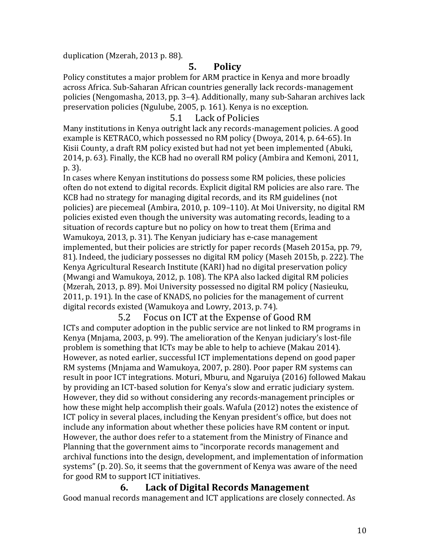duplication (Mzerah, 2013 p. 88).

# **5. Policy**

Policy constitutes a major problem for ARM practice in Kenya and more broadly across Africa. Sub-Saharan African countries generally lack records-management policies (Nengomasha, 2013, pp. 3–4). Additionally, many sub-Saharan archives lack preservation policies (Ngulube, 2005, p. 161). Kenya is no exception.

#### 5.1 Lack of Policies

Many institutions in Kenya outright lack any records-management policies. A good example is KETRACO, which possessed no RM policy (Dwoya, 2014, p. 64-65). In Kisii County, a draft RM policy existed but had not yet been implemented (Abuki, 2014, p. 63). Finally, the KCB had no overall RM policy (Ambira and Kemoni, 2011, p. 3).

In cases where Kenyan institutions do possess some RM policies, these policies often do not extend to digital records. Explicit digital RM policies are also rare. The KCB had no strategy for managing digital records, and its RM guidelines (not policies) are piecemeal (Ambira, 2010, p. 109–110). At Moi University, no digital RM policies existed even though the university was automating records, leading to a situation of records capture but no policy on how to treat them (Erima and Wamukoya, 2013, p. 31). The Kenyan judiciary has e-case management implemented, but their policies are strictly for paper records (Maseh 2015a, pp. 79, 81). Indeed, the judiciary possesses no digital RM policy (Maseh 2015b, p. 222). The Kenya Agricultural Research Institute (KARI) had no digital preservation policy (Mwangi and Wamukoya, 2012, p. 108). The KPA also lacked digital RM policies (Mzerah, 2013, p. 89). Moi University possessed no digital RM policy (Nasieuku, 2011, p. 191). In the case of KNADS, no policies for the management of current digital records existed (Wamukoya and Lowry, 2013, p. 74).

5.2 Focus on ICT at the Expense of Good RM ICTs and computer adoption in the public service are not linked to RM programs in Kenya (Mnjama, 2003, p. 99). The amelioration of the Kenyan judiciary's lost-file problem is something that ICTs may be able to help to achieve (Makau 2014). However, as noted earlier, successful ICT implementations depend on good paper RM systems (Mnjama and Wamukoya, 2007, p. 280). Poor paper RM systems can result in poor ICT integrations. Moturi, Mburu, and Ngaruiya (2016) followed Makau by providing an ICT-based solution for Kenya's slow and erratic judiciary system. However, they did so without considering any records-management principles or how these might help accomplish their goals. Wafula (2012) notes the existence of ICT policy in several places, including the Kenyan president's office, but does not include any information about whether these policies have RM content or input. However, the author does refer to a statement from the Ministry of Finance and Planning that the government aims to "incorporate records management and archival functions into the design, development, and implementation of information systems" (p. 20). So, it seems that the government of Kenya was aware of the need for good RM to support ICT initiatives.

#### **6. Lack of Digital Records Management**

Good manual records management and ICT applications are closely connected. As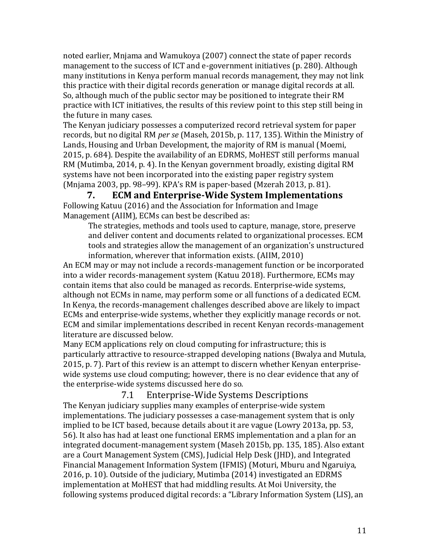noted earlier, Mnjama and Wamukoya (2007) connect the state of paper records management to the success of ICT and e-government initiatives (p. 280). Although many institutions in Kenya perform manual records management, they may not link this practice with their digital records generation or manage digital records at all. So, although much of the public sector may be positioned to integrate their RM practice with ICT initiatives, the results of this review point to this step still being in the future in many cases.

The Kenyan judiciary possesses a computerized record retrieval system for paper records, but no digital RM *per se* (Maseh, 2015b, p. 117, 135). Within the Ministry of Lands, Housing and Urban Development, the majority of RM is manual (Moemi, 2015, p. 684). Despite the availability of an EDRMS, MoHEST still performs manual RM (Mutimba, 2014, p. 4). In the Kenyan government broadly, existing digital RM systems have not been incorporated into the existing paper registry system (Mnjama 2003, pp. 98–99). KPA's RM is paper-based (Mzerah 2013, p. 81).

**7. ECM and Enterprise-Wide System Implementations** Following Katuu (2016) and the Association for Information and Image Management (AIIM), ECMs can best be described as:

The strategies, methods and tools used to capture, manage, store, preserve and deliver content and documents related to organizational processes. ECM tools and strategies allow the management of an organization's unstructured information, wherever that information exists. (AIIM, 2010)

An ECM may or may not include a records-management function or be incorporated into a wider records-management system (Katuu 2018). Furthermore, ECMs may contain items that also could be managed as records. Enterprise-wide systems, although not ECMs in name, may perform some or all functions of a dedicated ECM. In Kenya, the records-management challenges described above are likely to impact ECMs and enterprise-wide systems, whether they explicitly manage records or not. ECM and similar implementations described in recent Kenyan records-management literature are discussed below.

Many ECM applications rely on cloud computing for infrastructure; this is particularly attractive to resource-strapped developing nations (Bwalya and Mutula, 2015, p. 7). Part of this review is an attempt to discern whether Kenyan enterprisewide systems use cloud computing; however, there is no clear evidence that any of the enterprise-wide systems discussed here do so.

7.1 Enterprise-Wide Systems Descriptions The Kenyan judiciary supplies many examples of enterprise-wide system implementations. The judiciary possesses a case-management system that is only implied to be ICT based, because details about it are vague (Lowry 2013a, pp. 53, 56). It also has had at least one functional ERMS implementation and a plan for an integrated document-management system (Maseh 2015b, pp. 135, 185). Also extant are a Court Management System (CMS), Judicial Help Desk (JHD), and Integrated Financial Management Information System (IFMIS) (Moturi, Mburu and Ngaruiya, 2016, p. 10). Outside of the judiciary, Mutimba (2014) investigated an EDRMS implementation at MoHEST that had middling results. At Moi University, the following systems produced digital records: a "Library Information System (LIS), an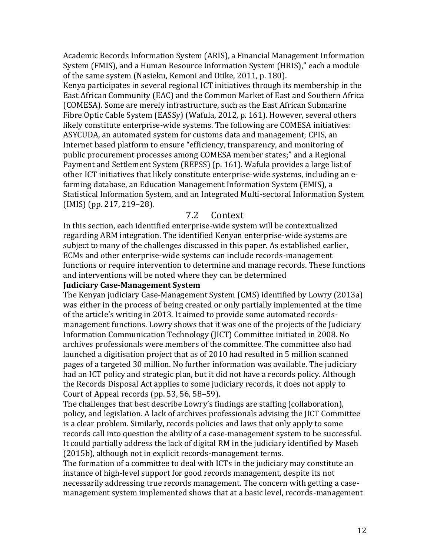Academic Records Information System (ARIS), a Financial Management Information System (FMIS), and a Human Resource Information System (HRIS)," each a module of the same system (Nasieku, Kemoni and Otike, 2011, p. 180).

Kenya participates in several regional ICT initiatives through its membership in the East African Community (EAC) and the Common Market of East and Southern Africa (COMESA). Some are merely infrastructure, such as the East African Submarine Fibre Optic Cable System (EASSy) (Wafula, 2012, p. 161). However, several others likely constitute enterprise-wide systems. The following are COMESA initiatives: ASYCUDA, an automated system for customs data and management; CPIS, an Internet based platform to ensure "efficiency, transparency, and monitoring of public procurement processes among COMESA member states;" and a Regional Payment and Settlement System (REPSS) (p. 161). Wafula provides a large list of other ICT initiatives that likely constitute enterprise-wide systems, including an efarming database, an Education Management Information System (EMIS), a Statistical Information System, and an Integrated Multi-sectoral Information System (IMIS) (pp. 217, 219–28).

#### 7.2 Context

In this section, each identified enterprise-wide system will be contextualized regarding ARM integration. The identified Kenyan enterprise-wide systems are subject to many of the challenges discussed in this paper. As established earlier, ECMs and other enterprise-wide systems can include records-management functions or require intervention to determine and manage records. These functions and interventions will be noted where they can be determined

#### **Judiciary Case-Management System**

The Kenyan judiciary Case-Management System (CMS) identified by Lowry (2013a) was either in the process of being created or only partially implemented at the time of the article's writing in 2013. It aimed to provide some automated recordsmanagement functions. Lowry shows that it was one of the projects of the Judiciary Information Communication Technology (JICT) Committee initiated in 2008. No archives professionals were members of the committee. The committee also had launched a digitisation project that as of 2010 had resulted in 5 million scanned pages of a targeted 30 million. No further information was available. The judiciary had an ICT policy and strategic plan, but it did not have a records policy. Although the Records Disposal Act applies to some judiciary records, it does not apply to Court of Appeal records (pp. 53, 56, 58–59).

The challenges that best describe Lowry's findings are staffing (collaboration), policy, and legislation. A lack of archives professionals advising the JICT Committee is a clear problem. Similarly, records policies and laws that only apply to some records call into question the ability of a case-management system to be successful. It could partially address the lack of digital RM in the judiciary identified by Maseh (2015b), although not in explicit records-management terms.

The formation of a committee to deal with ICTs in the judiciary may constitute an instance of high-level support for good records management, despite its not necessarily addressing true records management. The concern with getting a casemanagement system implemented shows that at a basic level, records-management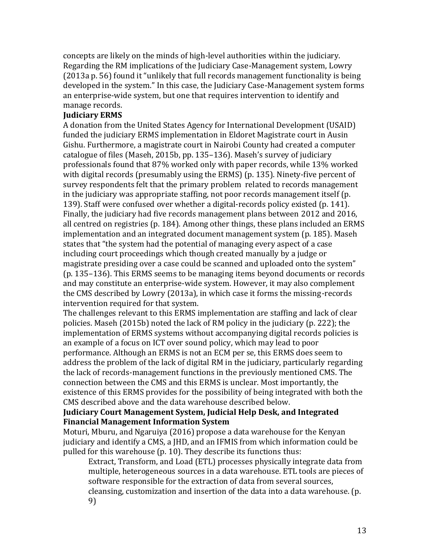concepts are likely on the minds of high-level authorities within the judiciary. Regarding the RM implications of the Judiciary Case-Management system, Lowry (2013a p. 56) found it "unlikely that full records management functionality is being developed in the system." In this case, the Judiciary Case-Management system forms an enterprise-wide system, but one that requires intervention to identify and manage records.

#### **Judiciary ERMS**

A donation from the United States Agency for International Development (USAID) funded the judiciary ERMS implementation in Eldoret Magistrate court in Ausin Gishu. Furthermore, a magistrate court in Nairobi County had created a computer catalogue of files (Maseh, 2015b, pp. 135–136). Maseh's survey of judiciary professionals found that 87% worked only with paper records, while 13% worked with digital records (presumably using the ERMS) (p. 135). Ninety-five percent of survey respondents felt that the primary problem related to records management in the judiciary was appropriate staffing, not poor records management itself (p. 139). Staff were confused over whether a digital-records policy existed (p. 141). Finally, the judiciary had five records management plans between 2012 and 2016, all centred on registries (p. 184). Among other things, these plans included an ERMS implementation and an integrated document management system (p. 185). Maseh states that "the system had the potential of managing every aspect of a case including court proceedings which though created manually by a judge or magistrate presiding over a case could be scanned and uploaded onto the system" (p. 135–136). This ERMS seems to be managing items beyond documents or records and may constitute an enterprise-wide system. However, it may also complement the CMS described by Lowry (2013a), in which case it forms the missing-records intervention required for that system.

The challenges relevant to this ERMS implementation are staffing and lack of clear policies. Maseh (2015b) noted the lack of RM policy in the judiciary (p. 222); the implementation of ERMS systems without accompanying digital records policies is an example of a focus on ICT over sound policy, which may lead to poor performance. Although an ERMS is not an ECM per se, this ERMS does seem to address the problem of the lack of digital RM in the judiciary, particularly regarding the lack of records-management functions in the previously mentioned CMS. The connection between the CMS and this ERMS is unclear. Most importantly, the existence of this ERMS provides for the possibility of being integrated with both the CMS described above and the data warehouse described below.

#### **Judiciary Court Management System, Judicial Help Desk, and Integrated Financial Management Information System**

Moturi, Mburu, and Ngaruiya (2016) propose a data warehouse for the Kenyan judiciary and identify a CMS, a JHD, and an IFMIS from which information could be pulled for this warehouse (p. 10). They describe its functions thus:

Extract, Transform, and Load (ETL) processes physically integrate data from multiple, heterogeneous sources in a data warehouse. ETL tools are pieces of software responsible for the extraction of data from several sources, cleansing, customization and insertion of the data into a data warehouse. (p. 9)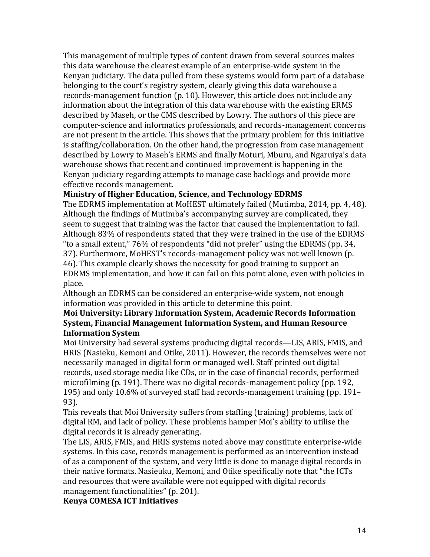This management of multiple types of content drawn from several sources makes this data warehouse the clearest example of an enterprise-wide system in the Kenyan judiciary. The data pulled from these systems would form part of a database belonging to the court's registry system, clearly giving this data warehouse a records-management function (p. 10). However, this article does not include any information about the integration of this data warehouse with the existing ERMS described by Maseh, or the CMS described by Lowry. The authors of this piece are computer-science and informatics professionals, and records-management concerns are not present in the article. This shows that the primary problem for this initiative is staffing/collaboration. On the other hand, the progression from case management described by Lowry to Maseh's ERMS and finally Moturi, Mburu, and Ngaruiya's data warehouse shows that recent and continued improvement is happening in the Kenyan judiciary regarding attempts to manage case backlogs and provide more effective records management.

## **Ministry of Higher Education, Science, and Technology EDRMS**

The EDRMS implementation at MoHEST ultimately failed (Mutimba, 2014, pp. 4, 48). Although the findings of Mutimba's accompanying survey are complicated, they seem to suggest that training was the factor that caused the implementation to fail. Although 83% of respondents stated that they were trained in the use of the EDRMS "to a small extent," 76% of respondents "did not prefer" using the EDRMS (pp. 34, 37). Furthermore, MoHEST's records-management policy was not well known (p. 46). This example clearly shows the necessity for good training to support an EDRMS implementation, and how it can fail on this point alone, even with policies in place.

Although an EDRMS can be considered an enterprise-wide system, not enough information was provided in this article to determine this point.

#### **Moi University: Library Information System, Academic Records Information System, Financial Management Information System, and Human Resource Information System**

Moi University had several systems producing digital records—LIS, ARIS, FMIS, and HRIS (Nasieku, Kemoni and Otike, 2011). However, the records themselves were not necessarily managed in digital form or managed well. Staff printed out digital records, used storage media like CDs, or in the case of financial records, performed microfilming (p. 191). There was no digital records-management policy (pp. 192, 195) and only 10.6% of surveyed staff had records-management training (pp. 191– 93).

This reveals that Moi University suffers from staffing (training) problems, lack of digital RM, and lack of policy. These problems hamper Moi's ability to utilise the digital records it is already generating.

The LIS, ARIS, FMIS, and HRIS systems noted above may constitute enterprise-wide systems. In this case, records management is performed as an intervention instead of as a component of the system, and very little is done to manage digital records in their native formats. Nasieuku, Kemoni, and Otike specifically note that "the ICTs and resources that were available were not equipped with digital records management functionalities" (p. 201).

**Kenya COMESA ICT Initiatives**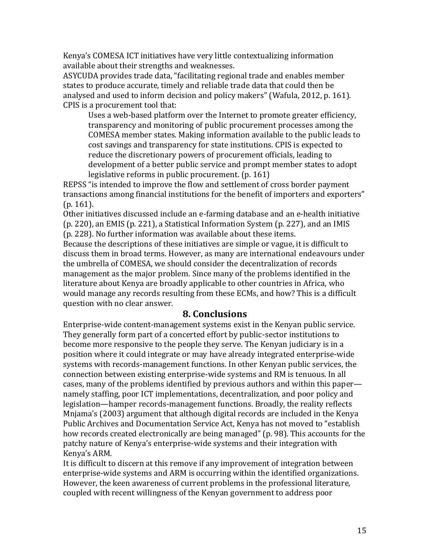Kenya's COMESA ICT initiatives have very little contextualizing information available about their strengths and weaknesses.

ASYCUDA provides trade data, "facilitating regional trade and enables member states to produce accurate, timely and reliable trade data that could then be analysed and used to inform decision and policy makers" (Wafula, 2012, p. 161). CPIS is a procurement tool that:

Uses a web-based platform over the Internet to promote greater efficiency, transparency and monitoring of public procurement processes among the COMESA member states. Making information available to the public leads to cost savings and transparency for state institutions. CPIS is expected to reduce the discretionary powers of procurement officials, leading to development of a better public service and prompt member states to adopt legislative reforms in public procurement. (p. 161)

REPSS "is intended to improve the flow and settlement of cross border payment transactions among financial institutions for the benefit of importers and exporters" (p. 161).

Other initiatives discussed include an e-farming database and an e-health initiative (p. 220), an EMIS (p. 221), a Statistical Information System (p. 227), and an IMIS (p. 228). No further information was available about these items.

Because the descriptions of these initiatives are simple or vague, it is difficult to discuss them in broad terms. However, as many are international endeavours under the umbrella of COMESA, we should consider the decentralization of records management as the major problem. Since many of the problems identified in the literature about Kenya are broadly applicable to other countries in Africa, who would manage any records resulting from these ECMs, and how? This is a difficult question with no clear answer.

## **8. Conclusions**

Enterprise-wide content-management systems exist in the Kenyan public service. They generally form part of a concerted effort by public-sector institutions to become more responsive to the people they serve. The Kenyan judiciary is in a position where it could integrate or may have already integrated enterprise-wide systems with records-management functions. In other Kenyan public services, the connection between existing enterprise-wide systems and RM is tenuous. In all cases, many of the problems identified by previous authors and within this paper namely staffing, poor ICT implementations, decentralization, and poor policy and legislation—hamper records-management functions. Broadly, the reality reflects Mnjama's (2003) argument that although digital records are included in the Kenya Public Archives and Documentation Service Act, Kenya has not moved to "establish how records created electronically are being managed" (p. 98). This accounts for the patchy nature of Kenya's enterprise-wide systems and their integration with Kenya's ARM.

It is difficult to discern at this remove if any improvement of integration between enterprise-wide systems and ARM is occurring within the identified organizations. However, the keen awareness of current problems in the professional literature, coupled with recent willingness of the Kenyan government to address poor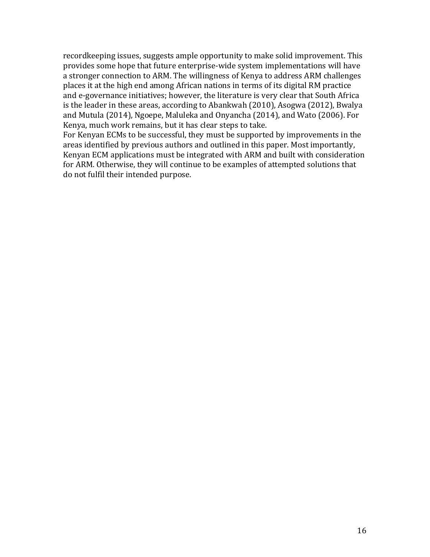recordkeeping issues, suggests ample opportunity to make solid improvement. This provides some hope that future enterprise-wide system implementations will have a stronger connection to ARM. The willingness of Kenya to address ARM challenges places it at the high end among African nations in terms of its digital RM practice and e-governance initiatives; however, the literature is very clear that South Africa is the leader in these areas, according to Abankwah (2010), Asogwa (2012), Bwalya and Mutula (2014), Ngoepe, Maluleka and Onyancha (2014), and Wato (2006). For Kenya, much work remains, but it has clear steps to take.

For Kenyan ECMs to be successful, they must be supported by improvements in the areas identified by previous authors and outlined in this paper. Most importantly, Kenyan ECM applications must be integrated with ARM and built with consideration for ARM. Otherwise, they will continue to be examples of attempted solutions that do not fulfil their intended purpose.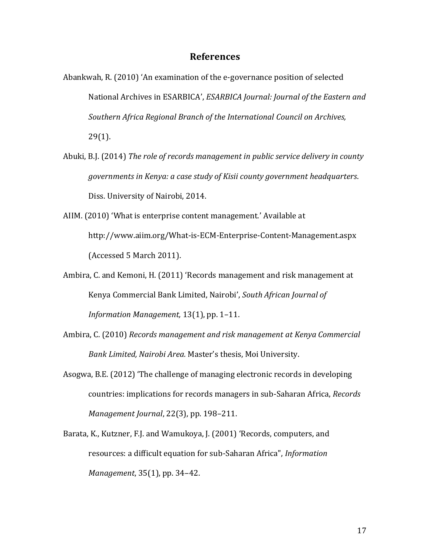#### **References**

- Abankwah, R. (2010) 'An examination of the e-governance position of selected National Archives in ESARBICA', *ESARBICA Journal: Journal of the Eastern and Southern Africa Regional Branch of the International Council on Archives,* 29(1).
- Abuki, B.J. (2014) *The role of records management in public service delivery in county governments in Kenya: a case study of Kisii county government headquarters*. Diss. University of Nairobi, 2014.
- AIIM. (2010) 'What is enterprise content management.' Available at http://www.aiim.org/What-is-ECM-Enterprise-Content-Management.aspx (Accessed 5 March 2011).
- Ambira, C. and Kemoni, H. (2011) 'Records management and risk management at Kenya Commercial Bank Limited, Nairobi', *South African Journal of Information Management,* 13(1), pp. 1–11.
- Ambira, C. (2010) *Records management and risk management at Kenya Commercial Bank Limited, Nairobi Area.* Master's thesis, Moi University.
- Asogwa, B.E. (2012) 'The challenge of managing electronic records in developing countries: implications for records managers in sub-Saharan Africa, *Records Management Journal*, 22(3), pp. 198–211.
- Barata, K., Kutzner, F.J. and Wamukoya, J. (2001) 'Records, computers, and resources: a difficult equation for sub-Saharan Africa", *Information Management*, 35(1), pp. 34–42.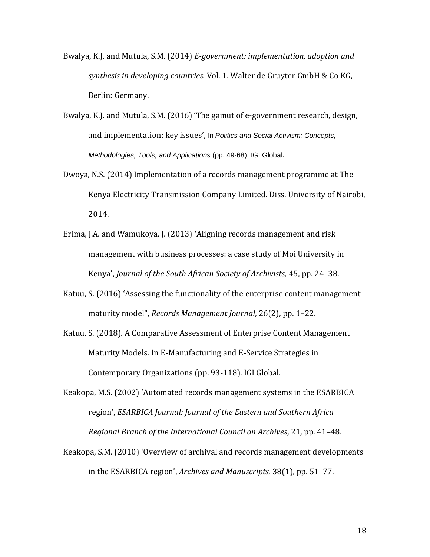- Bwalya, K.J. and Mutula, S.M. (2014) *E-government: implementation, adoption and synthesis in developing countries.* Vol. 1. Walter de Gruyter GmbH & Co KG, Berlin: Germany.
- Bwalya, K.J. and Mutula, S.M. (2016) 'The gamut of e-government research, design, and implementation: key issues', In *Politics and Social Activism: Concepts, Methodologies, Tools, and Applications* (pp. 49-68). IGI Global.
- Dwoya, N.S. (2014) Implementation of a records management programme at The Kenya Electricity Transmission Company Limited. Diss. University of Nairobi, 2014.
- Erima, J.A. and Wamukoya, J. (2013) 'Aligning records management and risk management with business processes: a case study of Moi University in Kenya', *Journal of the South African Society of Archivists,* 45, pp. 24–38.
- Katuu, S. (2016) 'Assessing the functionality of the enterprise content management maturity model", *Records Management Journal*, 26(2), pp. 1–22.
- Katuu, S. (2018). A Comparative Assessment of Enterprise Content Management Maturity Models. In E-Manufacturing and E-Service Strategies in Contemporary Organizations (pp. 93-118). IGI Global.
- Keakopa, M.S. (2002) 'Automated records management systems in the ESARBICA region', *ESARBICA Journal: Journal of the Eastern and Southern Africa Regional Branch of the International Council on Archives*, 21, pp. 41–48.
- Keakopa, S.M. (2010) 'Overview of archival and records management developments in the ESARBICA region', *Archives and Manuscripts,* 38(1), pp. 51–77.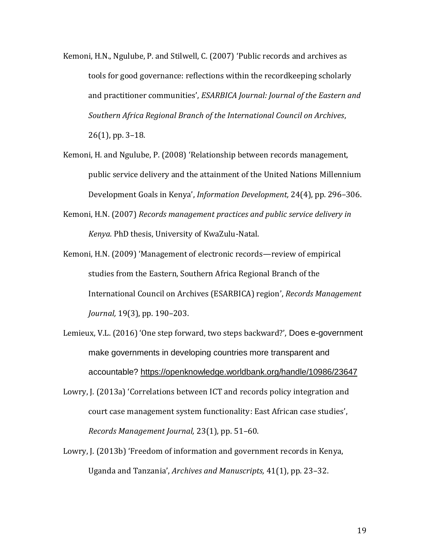- Kemoni, H.N., Ngulube, P. and Stilwell, C. (2007) 'Public records and archives as tools for good governance: reflections within the recordkeeping scholarly and practitioner communities', *ESARBICA Journal: Journal of the Eastern and Southern Africa Regional Branch of the International Council on Archives*, 26(1), pp. 3–18.
- Kemoni, H. and Ngulube, P. (2008) 'Relationship between records management, public service delivery and the attainment of the United Nations Millennium Development Goals in Kenya', *Information Development,* 24(4), pp. 296–306.
- Kemoni, H.N. (2007) *Records management practices and public service delivery in Kenya.* PhD thesis, University of KwaZulu-Natal.
- Kemoni, H.N. (2009) 'Management of electronic records—review of empirical studies from the Eastern, Southern Africa Regional Branch of the International Council on Archives (ESARBICA) region', *Records Management Journal,* 19(3), pp. 190–203.
- Lemieux, V.L. (2016) 'One step forward, two steps backward?', Does e-government make governments in developing countries more transparent and accountable?<https://openknowledge.worldbank.org/handle/10986/23647>
- Lowry, J. (2013a) 'Correlations between ICT and records policy integration and court case management system functionality: East African case studies', *Records Management Journal,* 23(1), pp. 51–60.
- Lowry, J. (2013b) 'Freedom of information and government records in Kenya, Uganda and Tanzania', *Archives and Manuscripts,* 41(1), pp. 23–32.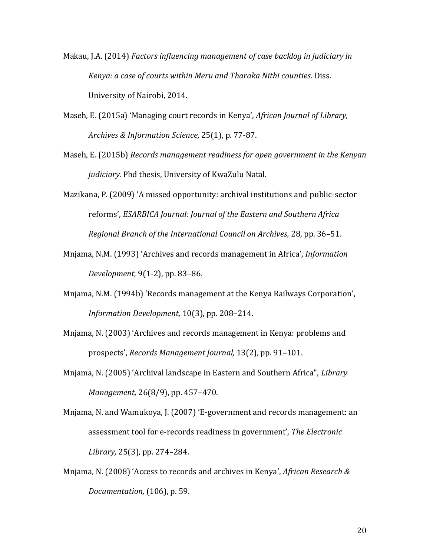Makau, J.A. (2014) *Factors influencing management of case backlog in judiciary in Kenya: a case of courts within Meru and Tharaka Nithi counties*. Diss. University of Nairobi, 2014.

Maseh, E. (2015a) 'Managing court records in Kenya', *African Journal of Library, Archives & Information Science,* 25(1), p. 77-87.

- Maseh, E. (2015b) *Records management readiness for open government in the Kenyan judiciary.* Phd thesis, University of KwaZulu Natal.
- Mazikana, P. (2009) 'A missed opportunity: archival institutions and public-sector reforms', *ESARBICA Journal: Journal of the Eastern and Southern Africa Regional Branch of the International Council on Archives,* 28, pp. 36–51.
- Mnjama, N.M. (1993) 'Archives and records management in Africa', *Information Development,* 9(1-2), pp. 83–86.
- Mnjama, N.M. (1994b) 'Records management at the Kenya Railways Corporation', *Information Development,* 10(3), pp. 208–214.
- Mnjama, N. (2003) 'Archives and records management in Kenya: problems and prospects', *Records Management Journal,* 13(2), pp. 91–101.
- Mnjama, N. (2005) 'Archival landscape in Eastern and Southern Africa", *Library Management,* 26(8/9), pp. 457–470.
- Mnjama, N. and Wamukoya, J. (2007) 'E-government and records management: an assessment tool for e-records readiness in government', *The Electronic Library,* 25(3), pp. 274–284.
- Mnjama, N. (2008) 'Access to records and archives in Kenya', *African Research & Documentation,* (106), p. 59.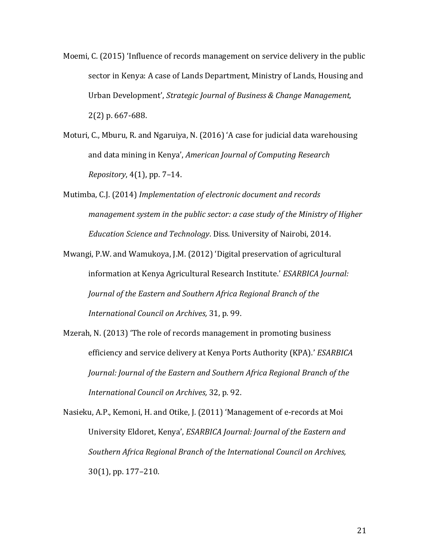- Moemi, C. (2015) 'Influence of records management on service delivery in the public sector in Kenya: A case of Lands Department, Ministry of Lands, Housing and Urban Development', *Strategic Journal of Business & Change Management,* 2(2) p. 667-688.
- Moturi, C., Mburu, R. and Ngaruiya, N. (2016) 'A case for judicial data warehousing and data mining in Kenya', *American Journal of Computing Research Repository*, 4(1), pp. 7–14.
- Mutimba, C.J. (2014) *Implementation of electronic document and records management system in the public sector: a case study of the Ministry of Higher Education Science and Technology*. Diss. University of Nairobi, 2014.
- Mwangi, P.W. and Wamukoya, J.M. (2012) 'Digital preservation of agricultural information at Kenya Agricultural Research Institute.' *ESARBICA Journal: Journal of the Eastern and Southern Africa Regional Branch of the International Council on Archives,* 31, p. 99.
- Mzerah, N. (2013) 'The role of records management in promoting business efficiency and service delivery at Kenya Ports Authority (KPA).' *ESARBICA Journal: Journal of the Eastern and Southern Africa Regional Branch of the International Council on Archives,* 32, p. 92.
- Nasieku, A.P., Kemoni, H. and Otike, J. (2011) 'Management of e-records at Moi University Eldoret, Kenya', *ESARBICA Journal: Journal of the Eastern and Southern Africa Regional Branch of the International Council on Archives,* 30(1), pp. 177–210.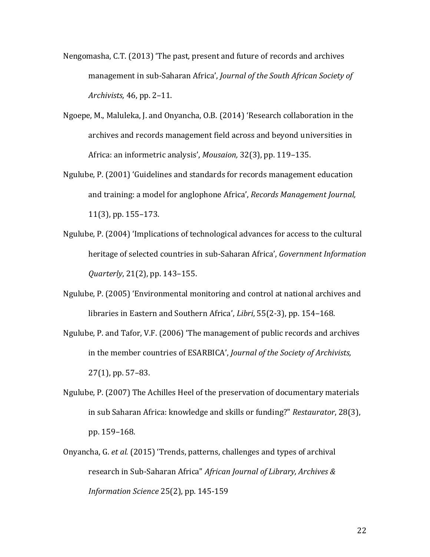- Nengomasha, C.T. (2013) 'The past, present and future of records and archives management in sub-Saharan Africa', *Journal of the South African Society of Archivists,* 46, pp. 2–11.
- Ngoepe, M., Maluleka, J. and Onyancha, O.B. (2014) 'Research collaboration in the archives and records management field across and beyond universities in Africa: an informetric analysis', *Mousaion,* 32(3), pp. 119–135.
- Ngulube, P. (2001) 'Guidelines and standards for records management education and training: a model for anglophone Africa', *Records Management Journal,* 11(3), pp. 155–173.
- Ngulube, P. (2004) 'Implications of technological advances for access to the cultural heritage of selected countries in sub-Saharan Africa', *Government Information Quarterly*, 21(2), pp. 143–155.
- Ngulube, P. (2005) 'Environmental monitoring and control at national archives and libraries in Eastern and Southern Africa', *Libri*, 55(2-3), pp. 154–168.
- Ngulube, P. and Tafor, V.F. (2006) 'The management of public records and archives in the member countries of ESARBICA', *Journal of the Society of Archivists,* 27(1), pp. 57–83.
- Ngulube, P. (2007) The Achilles Heel of the preservation of documentary materials in sub Saharan Africa: knowledge and skills or funding?" *Restaurator*, 28(3), pp. 159–168.
- Onyancha, G. *et al.* (2015) 'Trends, patterns, challenges and types of archival research in Sub-Saharan Africa" *African Journal of Library, Archives & Information Science* 25(2), pp. 145-159

22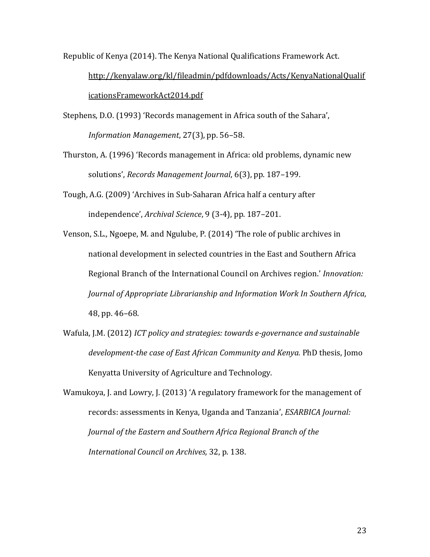Republic of Kenya (2014). The Kenya National Qualifications Framework Act.

[http://kenyalaw.org/kl/fileadmin/pdfdownloads/Acts/KenyaNationalQualif](http://kenyalaw.org/kl/fileadmin/pdfdownloads/Acts/KenyaNationalQualificationsFrameworkAct2014.pdf) [icationsFrameworkAct2014.pdf](http://kenyalaw.org/kl/fileadmin/pdfdownloads/Acts/KenyaNationalQualificationsFrameworkAct2014.pdf) 

Stephens, D.O. (1993) 'Records management in Africa south of the Sahara', *Information Management*, 27(3), pp. 56–58.

- Thurston, A. (1996) 'Records management in Africa: old problems, dynamic new solutions', *Records Management Journal*, 6(3), pp. 187–199.
- Tough, A.G. (2009) 'Archives in Sub-Saharan Africa half a century after independence', *Archival Science*, 9 (3-4), pp. 187–201.
- Venson, S.L., Ngoepe, M. and Ngulube, P. (2014) 'The role of public archives in national development in selected countries in the East and Southern Africa Regional Branch of the International Council on Archives region.' *Innovation: Journal of Appropriate Librarianship and Information Work In Southern Africa*, 48, pp. 46–68.
- Wafula, J.M. (2012) *ICT policy and strategies: towards e-governance and sustainable development-the case of East African Community and Kenya.* PhD thesis, Jomo Kenyatta University of Agriculture and Technology.
- Wamukoya, J. and Lowry, J. (2013) 'A regulatory framework for the management of records: assessments in Kenya, Uganda and Tanzania', *ESARBICA Journal: Journal of the Eastern and Southern Africa Regional Branch of the International Council on Archives,* 32, p. 138.